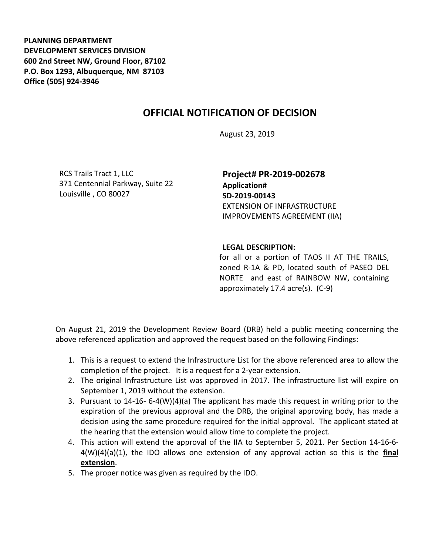**PLANNING DEPARTMENT DEVELOPMENT SERVICES DIVISION 600 2nd Street NW, Ground Floor, 87102 P.O. Box 1293, Albuquerque, NM 87103 Office (505) 924-3946** 

## **OFFICIAL NOTIFICATION OF DECISION**

August 23, 2019

RCS Trails Tract 1, LLC 371 Centennial Parkway, Suite 22 Louisville , CO 80027

**Project# PR-2019-002678 Application# SD-2019-00143** EXTENSION OF INFRASTRUCTURE IMPROVEMENTS AGREEMENT (IIA)

## **LEGAL DESCRIPTION:**

for all or a portion of TAOS II AT THE TRAILS, zoned R-1A & PD, located south of PASEO DEL NORTE and east of RAINBOW NW, containing approximately 17.4 acre(s). (C-9)

On August 21, 2019 the Development Review Board (DRB) held a public meeting concerning the above referenced application and approved the request based on the following Findings:

- 1. This is a request to extend the Infrastructure List for the above referenced area to allow the completion of the project. It is a request for a 2-year extension.
- 2. The original Infrastructure List was approved in 2017. The infrastructure list will expire on September 1, 2019 without the extension.
- 3. Pursuant to 14-16- 6-4(W)(4)(a) The applicant has made this request in writing prior to the expiration of the previous approval and the DRB, the original approving body, has made a decision using the same procedure required for the initial approval. The applicant stated at the hearing that the extension would allow time to complete the project.
- 4. This action will extend the approval of the IIA to September 5, 2021. Per Section 14-16-6- 4(W)(4)(a)(1), the IDO allows one extension of any approval action so this is the **final extension**.
- 5. The proper notice was given as required by the IDO.